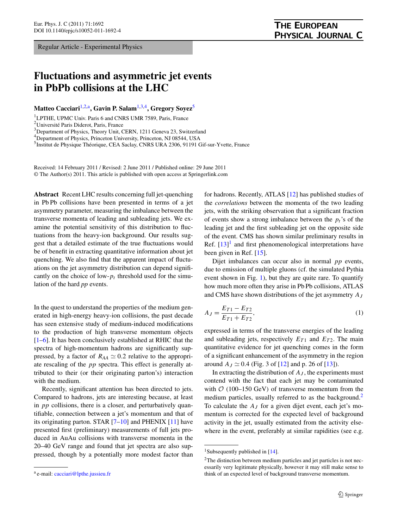Regular Article - Experimental Physics

# **THE EUROPEAN** PHYSICAL JOURNAL C

# <span id="page-0-5"></span><span id="page-0-4"></span><span id="page-0-3"></span><span id="page-0-1"></span><span id="page-0-0"></span>**Fluctuations and asymmetric jet events in PbPb collisions at the LHC**

# **Matteo Cacciari**[1,](#page-0-0)[2](#page-0-1)[,a](#page-0-2)**, Gavin P. Salam**[1,](#page-0-0)[3](#page-0-3)[,4](#page-0-4)**, Gregory Soyez**[5](#page-0-5)

<sup>1</sup>LPTHE, UPMC Univ. Paris 6 and CNRS UMR 7589, Paris, France

<sup>2</sup>Université Paris Diderot, Paris, France

<sup>3</sup>Department of Physics, Theory Unit, CERN, 1211 Geneva 23, Switzerland

<sup>4</sup>Department of Physics, Princeton University, Princeton, NJ 08544, USA

<sup>5</sup>Institut de Physique Théorique, CEA Saclay, CNRS URA 2306, 91191 Gif-sur-Yvette, France

Received: 14 February 2011 / Revised: 2 June 2011 / Published online: 29 June 2011 © The Author(s) 2011. This article is published with open access at Springerlink.com

**Abstract** Recent LHC results concerning full jet-quenching in Pb Pb collisions have been presented in terms of a jet asymmetry parameter, measuring the imbalance between the transverse momenta of leading and subleading jets. We examine the potential sensitivity of this distribution to fluctuations from the heavy-ion background. Our results suggest that a detailed estimate of the true fluctuations would be of benefit in extracting quantitative information about jet quenching. We also find that the apparent impact of fluctuations on the jet asymmetry distribution can depend significantly on the choice of low- $p_t$  threshold used for the simulation of the hard *pp* events.

In the quest to understand the properties of the medium generated in high-energy heavy-ion collisions, the past decade has seen extensive study of medium-induced modifications to the production of high transverse momentum objects [\[1](#page-8-0)[–6](#page-8-1)]. It has been conclusively established at RHIC that the spectra of high-momentum hadrons are significantly suppressed, by a factor of  $R_{AA} \simeq 0.2$  relative to the appropriate rescaling of the *pp* spectra. This effect is generally attributed to their (or their originating parton's) interaction with the medium.

<span id="page-0-2"></span>Recently, significant attention has been directed to jets. Compared to hadrons, jets are interesting because, at least in *pp* collisions, there is a closer, and perturbatively quantifiable, connection between a jet's momentum and that of its originating parton. STAR  $[7-10]$  $[7-10]$  and PHENIX  $[11]$  $[11]$  have presented first (preliminary) measurements of full jets produced in AuAu collisions with transverse momenta in the 20–40 GeV range and found that jet spectra are also suppressed, though by a potentially more modest factor than

for hadrons. Recently, ATLAS [[12\]](#page-8-5) has published studies of the *correlations* between the momenta of the two leading jets, with the striking observation that a significant fraction of events show a strong imbalance between the  $p_t$ 's of the leading jet and the first subleading jet on the opposite side of the event. CMS has shown similar preliminary results in Ref.  $[13]$  $[13]$  $[13]$ <sup>[1](#page-0-6)</sup> and first phenomenological interpretations have been given in Ref. [\[15](#page-8-7)].

Dijet imbalances can occur also in normal *pp* events, due to emission of multiple gluons (cf. the simulated Pythia event shown in Fig. [1\)](#page-1-0), but they are quite rare. To quantify how much more often they arise in Pb Pb collisions, ATLAS and CMS have shown distributions of the jet asymmetry *AJ*

$$
A_J = \frac{E_{T1} - E_{T2}}{E_{T1} + E_{T2}},\tag{1}
$$

expressed in terms of the transverse energies of the leading and subleading jets, respectively  $E_{T1}$  and  $E_{T2}$ . The main quantitative evidence for jet quenching comes in the form of a significant enhancement of the asymmetry in the region around  $A_J \simeq 0.4$  (Fig. 3 of [\[12](#page-8-5)] and p. 26 of [\[13](#page-8-6)]).

<span id="page-0-7"></span><span id="page-0-6"></span>In extracting the distribution of *AJ* , the experiments must contend with the fact that each jet may be contaminated with  $O(100-150 \text{ GeV})$  of transverse momentum from the medium particles, usually referred to as the background.<sup>[2](#page-0-7)</sup> To calculate the  $A_J$  for a given dijet event, each jet's momentum is corrected for the expected level of background activity in the jet, usually estimated from the activity elsewhere in the event, preferably at similar rapidities (see e.g.

<sup>a</sup> e-mail: [cacciari@lpthe.jussieu.fr](mailto:cacciari@lpthe.jussieu.fr)

<sup>&</sup>lt;sup>1</sup>Subsequently published in [[14](#page-8-8)].

<sup>&</sup>lt;sup>2</sup>The distinction between medium particles and jet particles is not necessarily very legitimate physically, however it may still make sense to think of an expected level of background transverse momentum.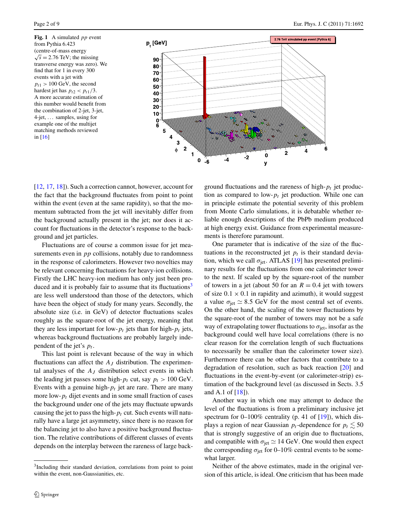<span id="page-1-0"></span>**Fig. 1** A simulated *pp* event from Pythia 6.423 (centre-of-mass energy  $\sqrt{s}$  = 2.76 TeV; the missing transverse energy was zero). We find that for 1 in every 300 events with a jet with  $p_{t1}$  > 100 GeV, the second hardest jet has  $p_{t2} < p_{t1}/3$ . A more accurate estimation of this number would benefit from the combination of 2-jet, 3-jet, 4-jet, . . . samples, using for example one of the multijet matching methods reviewed in [[16](#page-8-9)]



[\[12](#page-8-5), [17](#page-8-10), [18\]](#page-8-11)). Such a correction cannot, however, account for the fact that the background fluctuates from point to point within the event (even at the same rapidity), so that the momentum subtracted from the jet will inevitably differ from the background actually present in the jet; nor does it account for fluctuations in the detector's response to the background and jet particles.

Fluctuations are of course a common issue for jet measurements even in *pp* collisions, notably due to randomness in the response of calorimeters. However two novelties may be relevant concerning fluctuations for heavy-ion collisions. Firstly the LHC heavy-ion medium has only just been produced and it is probably fair to assume that its fluctuations $3$ are less well understood than those of the detectors, which have been the object of study for many years. Secondly, the absolute size (i.e. in GeV) of detector fluctuations scales roughly as the square-root of the jet energy, meaning that they are less important for low- $p_t$  jets than for high- $p_t$  jets, whereas background fluctuations are probably largely independent of the jet's *pt* .

<span id="page-1-1"></span>This last point is relevant because of the way in which fluctuations can affect the  $A_J$  distribution. The experimental analyses of the  $A_J$  distribution select events in which the leading jet passes some high- $p_t$  cut, say  $p_t > 100$  GeV. Events with a genuine high- $p_t$  jet are rare. There are many more low- $p_t$  dijet events and in some small fraction of cases the background under one of the jets may fluctuate upwards causing the jet to pass the high- $p_t$  cut. Such events will naturally have a large jet asymmetry, since there is no reason for the balancing jet to also have a positive background fluctuation. The relative contributions of different classes of events depends on the interplay between the rareness of large background fluctuations and the rareness of high- $p_t$  jet production as compared to low- $p_t$  jet production. While one can in principle estimate the potential severity of this problem from Monte Carlo simulations, it is debatable whether reliable enough descriptions of the PbPb medium produced at high energy exist. Guidance from experimental measurements is therefore paramount.

One parameter that is indicative of the size of the fluctuations in the reconstructed jet  $p_t$  is their standard deviation, which we call  $\sigma_{\rm jet}$ . ATLAS [[19\]](#page-8-12) has presented preliminary results for the fluctuations from one calorimeter tower to the next. If scaled up by the square-root of the number of towers in a jet (about 50 for an  $R = 0.4$  jet with towers of size  $0.1 \times 0.1$  in rapidity and azimuth), it would suggest a value  $\sigma_{\rm jet} \simeq 8.5$  GeV for the most central set of events. On the other hand, the scaling of the tower fluctuations by the square-root of the number of towers may not be a safe way of extrapolating tower fluctuations to  $\sigma_{\text{jet}}$ , insofar as the background could well have local correlations (there is no clear reason for the correlation length of such fluctuations to necessarily be smaller than the calorimeter tower size). Furthermore there can be other factors that contribute to a degradation of resolution, such as back reaction [\[20](#page-8-13)] and fluctuations in the event-by-event (or calorimeter-strip) estimation of the background level (as discussed in Sects. 3.5 and A.1 of  $[18]$ ).

Another way in which one may attempt to deduce the level of the fluctuations is from a preliminary inclusive jet spectrum for 0–100% centrality (p. 41 of [\[19](#page-8-12)]), which displays a region of near Gaussian  $p_t$ -dependence for  $p_t \lesssim 50$ that is strongly suggestive of an origin due to fluctuations, and compatible with  $\sigma_{jet} \simeq 14$  GeV. One would then expect the corresponding  $\sigma_{jet}$  for 0–10% central events to be somewhat larger.

Neither of the above estimates, made in the original version of this article, is ideal. One criticism that has been made

<sup>3</sup>Including their standard deviation, correlations from point to point within the event, non-Gaussianities, etc.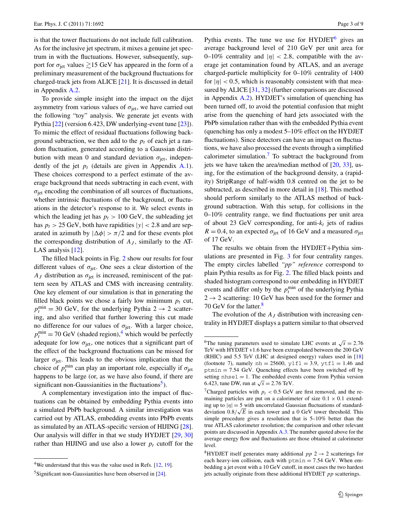is that the tower fluctuations do not include full calibration. As for the inclusive jet spectrum, it mixes a genuine jet spectrum in with the fluctuations. However, subsequently, support for  $\sigma_{\rm jet}$  values  $\geq 15$  GeV has appeared in the form of a preliminary measurement of the background fluctuations for charged-track jets from ALICE [[21\]](#page-8-14). It is discussed in detail in Appendix [A.2.](#page-5-0)

To provide simple insight into the impact on the dijet asymmetry from various values of  $\sigma_{\rm jet}$ , we have carried out the following "toy" analysis. We generate jet events with Pythia [[22\]](#page-8-15) (version 6.423, DW underlying-event tune [[23\]](#page-8-16)). To mimic the effect of residual fluctuations following background subtraction, we then add to the  $p_t$  of each jet a random fluctuation, generated according to a Gaussian distribution with mean 0 and standard deviation  $\sigma_{\text{jet}}$ , independently of the jet  $p_t$  (details are given in Appendix [A.1](#page-5-1)). These choices correspond to a perfect estimate of the average background that needs subtracting in each event, with  $\sigma_{\rm jet}$  encoding the combination of all sources of fluctuations, whether intrinsic fluctuations of the background, or fluctuations in the detector's response to it. We select events in which the leading jet has  $p_t > 100$  GeV, the subleading jet has  $p_t > 25$  GeV, both have rapidities  $|y| < 2.8$  and are separated in azimuth by  $|\Delta \phi| > \pi/2$  and for these events plot the corresponding distribution of  $A_J$ , similarly to the AT-LAS analysis [\[12](#page-8-5)].

The filled black points in Fig. [2](#page-3-0) show our results for four different values of  $\sigma_{\rm jet}$ . One sees a clear distortion of the  $A_J$  distribution as  $\sigma_{jet}$  is increased, reminiscent of the pattern seen by ATLAS and CMS with increasing centrality. One key element of our simulation is that in generating the filled black points we chose a fairly low minimum  $p_t$  cut,  $p_t^{\text{min}} = 30 \text{ GeV}$ , for the underlying Pythia 2  $\rightarrow$  2 scattering, and also verified that further lowering this cut made no difference for our values of  $\sigma_{\text{jet}}$ . With a larger choice,  $p_t^{\text{min}} = 70 \text{ GeV}$  (shaded region),<sup>[4](#page-2-0)</sup> which would be perfectly adequate for low  $\sigma_{\rm jet}$ , one notices that a significant part of the effect of the background fluctuations can be missed for larger  $\sigma_{\rm jet}$ . This leads to the obvious implication that the choice of  $p_t^{\text{min}}$  can play an important role, especially if  $\sigma_{\text{jet}}$ happens to be large (or, as we have also found, if there are significant non-Gaussianities in the fluctuations<sup>5</sup>).

<span id="page-2-1"></span><span id="page-2-0"></span>A complementary investigation into the impact of fluctuations can be obtained by embedding Pythia events into a simulated PbPb background. A similar investigation was carried out by ATLAS, embedding events into PbPb events as simulated by an ATLAS-specific version of HIJING [\[28](#page-8-17)]. Our analysis will differ in that we study HYDJET [[29,](#page-8-18) [30\]](#page-8-19) rather than HIJING and use also a lower  $p_t$  cutoff for the

Pythia events. The tune we use for  $HYDJET<sup>6</sup>$  $HYDJET<sup>6</sup>$  $HYDJET<sup>6</sup>$  gives an average background level of 210 GeV per unit area for 0–10% centrality and  $|\eta|$  < 2.8, compatible with the average jet contamination found by ATLAS, and an average charged-particle multiplicity for 0–10% centrality of 1400 for  $|\eta|$  < 0.5, which is reasonably consistent with that mea-sured by ALICE [\[31](#page-8-21), [32](#page-8-22)] (further comparisons are discussed in Appendix [A.2\)](#page-5-0). HYDJET's simulation of quenching has been turned off, to avoid the potential confusion that might arise from the quenching of hard jets associated with the PbPb simulation rather than with the embedded Pythia event (quenching has only a modest 5–10% effect on the HYDJET fluctuations). Since detectors can have an impact on fluctuations, we have also processed the events through a simplified calorimeter simulation.<sup>[7](#page-2-3)</sup> To subtract the background from jets we have taken the area/median method of  $[20, 33]$  $[20, 33]$  $[20, 33]$  $[20, 33]$  $[20, 33]$ , using, for the estimation of the background density, a (rapidity) StripRange of half-width 0.8 centred on the jet to be subtracted, as described in more detail in [\[18](#page-8-11)]. This method should perform similarly to the ATLAS method of background subtraction. With this setup, for collisions in the 0–10% centrality range, we find fluctuations per unit area of about 23 GeV corresponding, for anti- $k_t$  jets of radius  $R = 0.4$ , to an expected  $\sigma_{\text{jet}}$  of 16 GeV and a measured  $\sigma_{\text{jet}}$ of 17 GeV.

The results we obtain from the HYDJET+Pythia simulations are presented in Fig. [3](#page-3-1) for four centrality ranges. The empty circles labelled *"pp" reference* correspond to plain Pythia results as for Fig. [2.](#page-3-0) The filled black points and shaded histogram correspond to our embedding in HYDJET events and differ only by the  $p_t^{\min}$  of the underlying Pythia  $2 \rightarrow 2$  scattering: 10 GeV has been used for the former and 70 GeV for the latter.<sup>[8](#page-2-4)</sup>

<span id="page-2-2"></span>The evolution of the *A<sub>J</sub>* distribution with increasing centrality in HYDJET displays a pattern similar to that observed

<sup>&</sup>lt;sup>4</sup>We understand that this was the value used in Refs.  $[12, 19]$  $[12, 19]$  $[12, 19]$  $[12, 19]$ .

<sup>5</sup>Significant non-Gaussianities have been observed in [\[24\]](#page-8-20).

<span id="page-2-3"></span><sup>&</sup>lt;sup>6</sup>The tuning parameters used to simulate LHC events at  $\sqrt{s} = 2.76$ TeV with HYDJET v1.6 have been extrapolated between the 200 GeV (RHIC) and 5.5 TeV (LHC at designed energy) values used in [[18](#page-8-11)] (footnote 7), namely  $nh = 25600$ ,  $y1f1 = 3.9$ ,  $ytf1 = 1.46$  and ptmin = 7*.*54 GeV. Quenching effects have been switched off by setting  $nhsel = 1$ . The embedded events come from Pythia version 6.423, tune DW, run at  $\sqrt{s}$  = 2.76 TeV.

<span id="page-2-4"></span><sup>&</sup>lt;sup>7</sup>Charged particles with  $p_t < 0.5$  GeV are first removed, and the remaining particles are put on a calorimeter of size  $0.1 \times 0.1$  extending up to  $|\eta| = 5$  with uncorrelated Gaussian fluctuations of standard- $\log$  up to  $|\eta| = 5$  with uncorrelated Gaussian nuctuations of standard-<br>deviation  $0.8/\sqrt{E}$  in each tower and a 0 GeV tower threshold. This simple procedure gives a resolution that is 5–10% better than the true ATLAS calorimeter resolution; the comparison and other relevant points are discussed in Appendix [A.3.](#page-6-0) The number quoted above for the average energy flow and fluctuations are those obtained at calorimeter level.

<sup>&</sup>lt;sup>8</sup>HYDJET itself generates many additional  $pp 2 \rightarrow 2$  scatterings for each heavy-ion collision, each with ptmin = 7*.*54 GeV. When embedding a jet event with a 10 GeV cutoff, in most cases the two hardest jets actually originate from these additional HYDJET *pp* scatterings.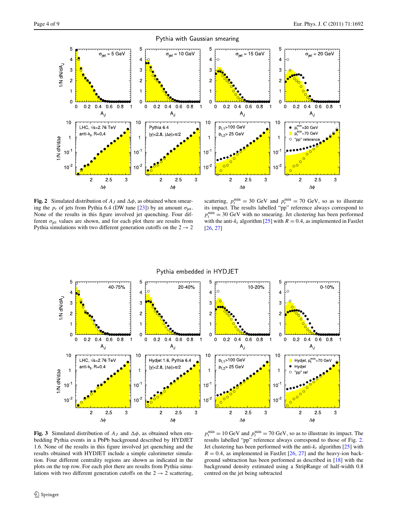

<span id="page-3-0"></span>**Fig. 2** Simulated distribution of  $A_J$  and  $\Delta \phi$ , as obtained when smearing the  $p_t$  of jets from Pythia 6.4 (DW tune [[23\]](#page-8-16)) by an amount  $\sigma_{jet}$ . None of the results in this figure involved jet quenching. Four different  $\sigma_{jet}$  values are shown, and for each plot there are results from Pythia simulations with two different generation cutoffs on the  $2 \rightarrow 2$ 

scattering,  $p_t^{\text{min}} = 30 \text{ GeV}$  and  $p_t^{\text{min}} = 70 \text{ GeV}$ , so as to illustrate its impact. The results labelled "pp" reference always correspond to  $p_t^{\text{min}} = 30 \text{ GeV}$  with no smearing. Jet clustering has been performed with the anti- $k_t$  algorithm [\[25\]](#page-8-24) with  $R = 0.4$ , as implemented in FastJet [[26](#page-8-25), [27\]](#page-8-26)



<span id="page-3-1"></span>**Fig. 3** Simulated distribution of  $A_J$  and  $\Delta \phi$ , as obtained when embedding Pythia events in a PbPb background described by HYDJET 1.6. None of the results in this figure involved jet quenching and the results obtained with HYDJET include a simple calorimeter simulation. Four different centrality regions are shown as indicated in the plots on the top row. For each plot there are results from Pythia simulations with two different generation cutoffs on the  $2 \rightarrow 2$  scattering,

 $p_t^{\text{min}} = 10 \text{ GeV}$  and  $p_t^{\text{min}} = 70 \text{ GeV}$ , so as to illustrate its impact. The results labelled "pp" reference always correspond to those of Fig. [2.](#page-3-0) Jet clustering has been performed with the anti- $k_t$  algorithm [\[25\]](#page-8-24) with  $R = 0.4$ , as implemented in FastJet  $[26, 27]$  $[26, 27]$  $[26, 27]$  $[26, 27]$  $[26, 27]$  and the heavy-ion background subtraction has been performed as described in [[18](#page-8-11)] with the background density estimated using a StripRange of half-width 0.8 centred on the jet being subtracted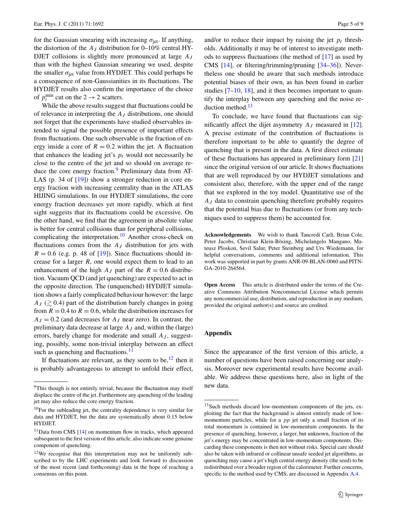for the Gaussian smearing with increasing  $\sigma_{jet}$ . If anything, the distortion of the  $A_J$  distribution for 0–10% central HY-DJET collisions is slightly more pronounced at large *AJ* than with the highest Gaussian smearing we used, despite the smaller  $\sigma_{\rm jet}$  value from HYDJET. This could perhaps be a consequence of non-Gaussianities in its fluctuations. The HYDJET results also confirm the importance of the choice of  $p_t^{\min}$  cut on the 2  $\rightarrow$  2 scatters.

While the above results suggest that fluctuations could be of relevance in interpreting the *AJ* distributions, one should not forget that the experiments have studied observables intended to signal the possible presence of important effects from fluctuations. One such observable is the fraction of energy inside a core of  $R = 0.2$  within the jet. A fluctuation that enhances the leading jet's  $p_t$  would not necessarily be close to the centre of the jet and so should on average reduce the core energy fraction.<sup>9</sup> Preliminary data from AT-LAS (p. 34 of [[19\]](#page-8-12)) show a stronger reduction in core energy fraction with increasing centrality than in the ATLAS HIJING simulations. In our HYDJET simulations, the core energy fraction decreases yet more rapidly, which at first sight suggests that its fluctuations could be excessive. On the other hand, we find that the agreement in absolute value is better for central collisions than for peripheral collisions, complicating the interpretation. $10$  Another cross-check on fluctuations comes from the  $A_J$  distribution for jets with  $R = 0.6$  (e.g. p. 48 of [\[19](#page-8-12)]). Since fluctuations should increase for a larger *R*, one would expect them to lead to an enhancement of the high  $A_J$  part of the  $R = 0.6$  distribution. Vacuum QCD (and jet quenching) are expected to act in the opposite direction. The (unquenched) HYDJET simulation shows a fairly complicated behaviour however: the large  $A_J$  ( $\geq$  0.4) part of the distribution barely changes in going from  $R = 0.4$  to  $R = 0.6$ , while the distribution increases for  $A_J = 0.2$  (and decreases for  $A_J$  near zero). In contrast, the preliminary data decrease at large *AJ* and, within the (large) errors, barely change for moderate and small  $A_J$ , suggesting, possibly, some non-trivial interplay between an effect such as quenching and fluctuations. $\frac{11}{2}$  $\frac{11}{2}$  $\frac{11}{2}$ 

<span id="page-4-2"></span><span id="page-4-1"></span><span id="page-4-0"></span>If fluctuations are relevant, as they seem to be, $^{12}$  then it is probably advantageous to attempt to unfold their effect,

and/or to reduce their impact by raising the jet  $p_t$  thresholds. Additionally it may be of interest to investigate methods to suppress fluctuations (the method of [\[17](#page-8-10)] as used by CMS [\[14](#page-8-8)], or filtering/trimming/pruning [[34–](#page-8-27)[36\]](#page-8-28)). Nevertheless one should be aware that such methods introduce potential biases of their own, as has been found in earlier studies  $[7-10, 18]$  $[7-10, 18]$  $[7-10, 18]$  $[7-10, 18]$  $[7-10, 18]$ , and it then becomes important to quantify the interplay between any quenching and the noise re-duction method.<sup>[13](#page-4-4)</sup>

To conclude, we have found that fluctuations can significantly affect the dijet asymmetry  $A_I$  measured in [\[12](#page-8-5)]. A precise estimate of the contribution of fluctuations is therefore important to be able to quantify the degree of quenching that is present in the data. A first direct estimate of these fluctuations has appeared in preliminary form [[21\]](#page-8-14) since the original version of our article. It shows fluctuations that are well reproduced by our HYDJET simulations and consistent also, therefore, with the upper end of the range that we explored in the toy model. Quantitative use of the *AJ* data to constrain quenching therefore probably requires that the potential bias due to fluctuations (or from any techniques used to suppress them) be accounted for.

**Acknowledgements** We wish to thank Tancredi Carli, Brian Cole, Peter Jacobs, Christian Klein-Bösing, Michelangelo Mangano, Mateusz Ploskon, Sevil Salur, Peter Steinberg and Urs Wiedemann, for helpful conversations, comments and additional information. This work was supported in part by grants ANR-09-BLAN-0060 and PITN-GA-2010-264564.

**Open Access** This article is distributed under the terms of the Creative Commons Attribution Noncommercial License which permits any noncommercial use, distribution, and reproduction in any medium, provided the original author(s) and source are credited.

### **Appendix**

<span id="page-4-4"></span>Since the appearance of the first version of this article, a number of questions have been raised concerning our analysis. Moreover new experimental results have become available. We address these questions here, also in light of the new data.

<span id="page-4-3"></span><sup>&</sup>lt;sup>9</sup>This though is not entirely trivial, because the fluctuation may itself displace the centre of the jet. Furthermore any quenching of the leading jet may also reduce the core energy fraction.

 $10$ For the subleading jet, the centrality dependence is very similar for data and HYDJET, but the data are systematically about 0*.*15 below HYDJET.

<sup>&</sup>lt;sup>11</sup>Data from CMS [\[14\]](#page-8-8) on momentum flow in tracks, which appeared subsequent to the first version of this article, also indicate some genuine component of quenching.

<sup>&</sup>lt;sup>12</sup>We recognise that this interpretation may not be uniformly subscribed to by the LHC experiments and look forward to discussion of the most recent (and forthcoming) data in the hope of reaching a consensus on this point.

<sup>13</sup>Such methods discard low-momentum components of the jets, exploiting the fact that the background is almost entirely made of lowmomentum particles, while for a *pp* jet only a small fraction of its total momentum is contained in low-momentum components. In the presence of quenching, however, a larger, but unknown, fraction of the jet's energy may be concentrated in low-momentum components. Discarding these components is then not without risks. Special care should also be taken with infrared or collinear unsafe seeded jet algorithms, as quenching may cause a jet's high central energy density (the seed) to be redistributed over a broader region of the calorimeter. Further concerns, specific to the method used by CMS, are discussed in Appendix [A.4.](#page-7-0)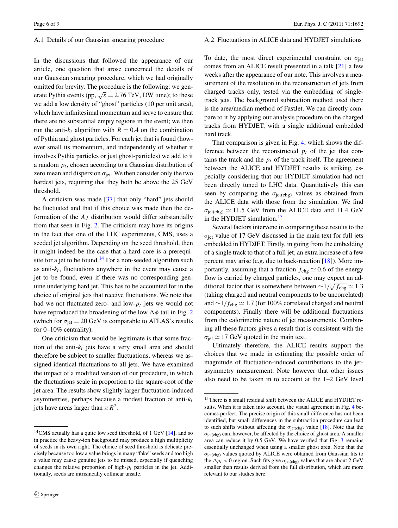#### A.1 Details of our Gaussian smearing procedure

In the discussions that followed the appearance of our article, one question that arose concerned the details of our Gaussian smearing procedure, which we had originally omitted for brevity. The procedure is the following: we generate Pythia events (pp,  $\sqrt{s}$  = 2.76 TeV, DW tune); to these we add a low density of "ghost" particles (10 per unit area), which have infinitesimal momentum and serve to ensure that there are no substantial empty regions in the event; we then run the anti- $k_t$  algorithm with  $R = 0.4$  on the combination of Pythia and ghost particles. For each jet that is found (however small its momentum, and independently of whether it involves Pythia particles or just ghost-particles) we add to it a random  $p_t$ , chosen according to a Gaussian distribution of zero mean and dispersion  $\sigma_{\text{jet}}$ . We then consider only the two hardest jets, requiring that they both be above the 25 GeV threshold.

A criticism was made [[37\]](#page-8-29) that only "hard" jets should be fluctuated and that if this choice was made then the deformation of the *AJ* distribution would differ substantially from that seen in Fig. [2.](#page-3-0) The criticism may have its origins in the fact that one of the LHC experiments, CMS, uses a seeded jet algorithm. Depending on the seed threshold, then it might indeed be the case that a hard core is a prerequisite for a jet to be found.<sup>14</sup> For a non-seeded algorithm such as anti- $k_t$ , fluctuations anywhere in the event may cause a jet to be found, even if there was no corresponding genuine underlying hard jet. This has to be accounted for in the choice of original jets that receive fluctuations. We note that had we not fluctuated zero- and low-*pt* jets we would not have reproduced the broadening of the low  $\Delta \phi$  tail in Fig. [2](#page-3-0) (which for  $\sigma_{\text{jet}} = 20 \text{ GeV}$  is comparable to ATLAS's results for 0–10% centrality).

<span id="page-5-2"></span>One criticism that would be legitimate is that some fraction of the anti- $k_t$  jets have a very small area and should therefore be subject to smaller fluctuations, whereas we assigned identical fluctuations to all jets. We have examined the impact of a modified version of our procedure, in which the fluctuations scale in proportion to the square-root of the jet area. The results show slightly larger fluctuation-induced asymmetries, perhaps because a modest fraction of anti-*kt* jets have areas larger than  $\pi R^2$ .

#### <span id="page-5-1"></span>Page 6 of 9 Eur. Phys. J. C (2011) 71:1692

#### <span id="page-5-0"></span>A.2 Fluctuations in ALICE data and HYDJET simulations

To date, the most direct experimental constraint on  $\sigma_{jet}$ comes from an ALICE result presented in a talk [[21\]](#page-8-14) a few weeks after the appearance of our note. This involves a measurement of the resolution in the reconstruction of jets from charged tracks only, tested via the embedding of singletrack jets. The background subtraction method used there is the area/median method of FastJet. We can directly compare to it by applying our analysis procedure on the charged tracks from HYDJET, with a single additional embedded hard track.

That comparison is given in Fig. [4](#page-6-1), which shows the difference between the reconstructed  $p_t$  of the jet that contains the track and the  $p_t$  of the track itself. The agreement between the ALICE and HYDJET results is striking, especially considering that our HYDJET simulation had not been directly tuned to LHC data. Quantitatively this can seen by comparing the  $\sigma$ <sub>jet</sub> $(c$ <sub>hg</sub>) values as obtained from the ALICE data with those from the simulation. We find  $\sigma_{\text{jet(chg)}} \simeq 11.5 \text{ GeV}$  from the ALICE data and 11.4 GeV in the HYDJET simulation.<sup>15</sup>

Several factors intervene in comparing these results to the  $\sigma_{\rm jet}$  value of 17 GeV discussed in the main text for full jets embedded in HYDJET. Firstly, in going from the embedding of a single track to that of a full jet, an extra increase of a few percent may arise (e.g. due to back-reaction [[18\]](#page-8-11)). More importantly, assuming that a fraction  $f_{\text{chg}} \simeq 0.6$  of the energy flow is carried by charged particles, one may expect an additional factor that is somewhere between  $\sim 1/\sqrt{f_{\text{chg}}}\simeq 1.3$ (taking charged and neutral components to be uncorrelated) and ∼1/ $f_{\text{chg}}$   $\simeq$  1.7 (for 100% correlated charged and neutral components). Finally there will be additional fluctuations from the calorimetric nature of jet measurements. Combining all these factors gives a result that is consistent with the  $\sigma_{\rm jet} \simeq 17$  GeV quoted in the main text.

<span id="page-5-3"></span>Ultimately therefore, the ALICE results support the choices that we made in estimating the possible order of magnitude of fluctuation-induced contributions to the jetasymmetry measurement. Note however that other issues also need to be taken in to account at the 1–2 GeV level

<sup>&</sup>lt;sup>14</sup>CMS actually has a quite low seed threshold, of 1 GeV  $[14]$ , and so in practice the heavy-ion background may produce a high multiplicity of seeds in its own right. The choice of seed threshold is delicate precisely because too low a value brings in many "fake" seeds and too high a value may cause genuine jets to be missed, especially if quenching changes the relative proportion of high-*pt* particles in the jet. Additionally, seeds are intrisincally collinear unsafe.

<sup>&</sup>lt;sup>15</sup>There is a small residual shift between the ALICE and HYDJET results. When it is taken into account, the visual agreement in Fig. [4](#page-6-1) becomes perfect. The precise origin of this small difference has not been identified, but small differences in the subtraction procedure can lead to such shifts without affecting the  $\sigma_{jet(chg)}$  value [\[18\]](#page-8-11). Note that the *σ*jet(chg) can, however, be affected by the choice of ghost area. A smaller area can reduce it by 0*.*5 GeV. We have verified that Fig. [3](#page-3-1) remains essentially unchanged when using a smaller ghost area. Note that the  $\sigma$ <sub>iet(chg</sub>) values quoted by ALICE were obtained from Gaussian fits to the  $\Delta p_t < 0$  region. Such fits give  $\sigma_{\text{jet(chg)}}$  values that are about 2 GeV smaller than results derived from the full distribution, which are more relevant to our studies here.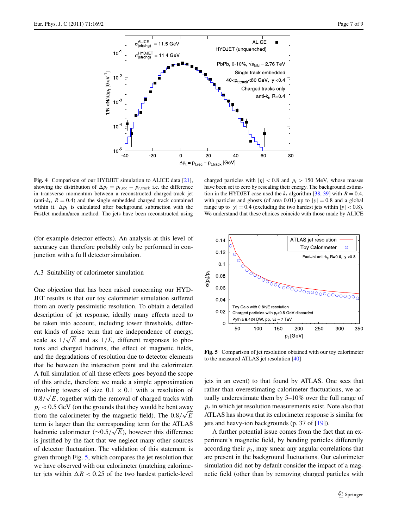

<span id="page-6-1"></span>**Fig. 4** Comparison of our HYDJET simulation to ALICE data [[21](#page-8-14)], showing the distribution of  $\Delta p_t = p_{t,\text{rec}} - p_{t,\text{track}}$  i.e. the difference in transverse momentum between a reconstructed charged-track jet (anti- $k_t$ ,  $R = 0.4$ ) and the single embedded charged track contained within it.  $\Delta p_t$  is calculated after background subtraction with the FastJet median/area method. The jets have been reconstructed using

charged particles with  $|\eta| < 0.8$  and  $p_t > 150$  MeV, whose masses have been set to zero by rescaling their energy. The background estimation in the HYDJET case used the  $k_t$  algorithm [[38](#page-8-30), [39](#page-8-31)] with  $R = 0.4$ , with particles and ghosts (of area 0.01) up to  $|y| = 0.8$  and a global range up to  $|y| = 0.4$  (excluding the two hardest jets within  $|y| < 0.8$ ). We understand that these choices coincide with those made by ALICE

<span id="page-6-0"></span>(for example detector effects). An analysis at this level of accuracy can therefore probably only be performed in conjunction with a fu ll detector simulation.

#### A.3 Suitability of calorimeter simulation

One objection that has been raised concerning our HYD-JET results is that our toy calorimeter simulation suffered from an overly pessimistic resolution. To obtain a detailed description of jet response, ideally many effects need to be taken into account, including tower thresholds, different kinds of noise term that are independence of energy, scale as  $1/\sqrt{E}$  and as  $1/E$ , different responses to photons and charged hadrons, the effect of magnetic fields, and the degradations of resolution due to detector elements that lie between the interaction point and the calorimeter. A full simulation of all these effects goes beyond the scope of this article, therefore we made a simple approximation involving towers of size  $0.1 \times 0.1$  with a resolution of 0.8/ $\sqrt{E}$ , together with the removal of charged tracks with  $p_t$  < 0.5 GeV (on the grounds that they would be bent away  $p_t$  < 0.5 GeV (on the grounds that they would be bent away<br>from the calorimeter by the magnetic field). The  $0.8/\sqrt{E}$ term is larger than the corresponding term for the ATLAS hadronic calorimeter (∼0*.*5*/* <sup>√</sup>*E*), however this difference is justified by the fact that we neglect many other sources of detector fluctuation. The validation of this statement is given through Fig. [5,](#page-6-2) which compares the jet resolution that we have observed with our calorimeter (matching calorimeter jets within  $\Delta R < 0.25$  of the two hardest particle-level



<span id="page-6-2"></span>**Fig. 5** Comparison of jet resolution obtained with our toy calorimeter to the measured ATLAS jet resolution [\[40\]](#page-8-32)

jets in an event) to that found by ATLAS. One sees that rather than overestimating calorimeter fluctuations, we actually underestimate them by 5–10% over the full range of  $p_t$  in which jet resolution measurements exist. Note also that ATLAS has shown that its calorimeter response is similar for jets and heavy-ion backgrounds (p. 37 of [\[19](#page-8-12)]).

A further potential issue comes from the fact that an experiment's magnetic field, by bending particles differently according their  $p_t$ , may smear any angular correlations that are present in the background fluctuations. Our calorimeter simulation did not by default consider the impact of a magnetic field (other than by removing charged particles with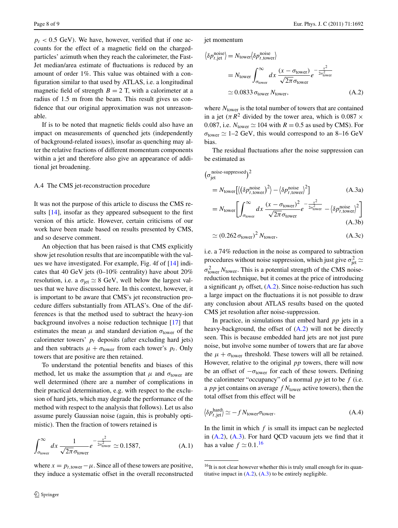$p_t$  < 0.5 GeV). We have, however, verified that if one accounts for the effect of a magnetic field on the chargedparticles' azimuth when they reach the calorimeter, the Fast-Jet median/area estimate of fluctuations is reduced by an amount of order 1%. This value was obtained with a configuration similar to that used by ATLAS, i.e. a longitudinal magnetic field of strength  $B = 2$  T, with a calorimeter at a radius of 1*.*5 m from the beam. This result gives us confidence that our original approximation was not unreasonable.

<span id="page-7-0"></span>If is to be noted that magnetic fields could also have an impact on measurements of quenched jets (independently of background-related issues), insofar as quenching may alter the relative fractions of different momentum components within a jet and therefore also give an appearance of additional jet broadening.

#### A.4 The CMS jet-reconstruction procedure

It was not the purpose of this article to discuss the CMS re-sults [[14\]](#page-8-8), insofar as they appeared subsequent to the first version of this article. However, certain criticisms of our work have been made based on results presented by CMS, and so deserve comment.

An objection that has been raised is that CMS explicitly show jet resolution results that are incompatible with the values we have investigated. For example, Fig. 4f of [\[14](#page-8-8)] indicates that 40 GeV jets  $(0-10\%$  centrality) have about 20% resolution, i.e. a  $\sigma_{jet} \simeq 8$  GeV, well below the largest values that we have discussed here. In this context, however, it is important to be aware that CMS's jet reconstruction procedure differs substantially from ATLAS's. One of the differences is that the method used to subtract the heavy-ion background involves a noise reduction technique [\[17](#page-8-10)] that estimates the mean  $\mu$  and standard deviation  $\sigma_{\text{tower}}$  of the calorimeter towers'  $p_t$  deposits (after excluding hard jets) and then subtracts  $\mu + \sigma_{\text{tower}}$  from each tower's  $p_t$ . Only towers that are positive are then retained.

To understand the potential benefits and biases of this method, let us make the assumption that  $\mu$  and  $\sigma_{\text{tower}}$  are well determined (there are a number of complications in their practical determination, e.g. with respect to the exclusion of hard jets, which may degrade the performance of the method with respect to the analysis that follows). Let us also assume purely Gaussian noise (again, this is probably optimistic). Then the fraction of towers retained is

$$
\int_{\sigma_{\text{tower}}}^{\infty} dx \frac{1}{\sqrt{2\pi} \sigma_{\text{tower}}} e^{-\frac{x^2}{2\sigma_{\text{lower}}^2}} \simeq 0.1587, \tag{A.1}
$$

where  $x = p_{t,\text{tower}} - \mu$ . Since all of these towers are positive, they induce a systematic offset in the overall reconstructed <span id="page-7-1"></span>jet momentum

$$
\langle \delta p_{t,jet}^{\text{noise}} \rangle = N_{\text{tower}} \langle \delta p_{t,\text{tower}}^{\text{noise}} \rangle
$$
  
=  $N_{\text{tower}} \int_{\sigma_{\text{tower}}}^{\infty} dx \frac{(x - \sigma_{\text{tower}})}{\sqrt{2\pi} \sigma_{\text{tower}}} e^{-\frac{x^2}{2\sigma_{\text{lower}}^2}}$   
 $\approx 0.0833 \sigma_{\text{tower}} N_{\text{tower}},$  (A.2)

<span id="page-7-2"></span>where  $N_{\text{lower}}$  is the total number of towers that are contained in a jet ( $\pi R^2$  divided by the tower area, which is 0.087  $\times$ 0.087, i.e.  $N_{\text{tower}} \simeq 104$  with  $R = 0.5$  as used by CMS). For  $\sigma_{\text{tower}} \simeq 1-2 \text{ GeV}$ , this would correspond to an 8–16 GeV bias.

The residual fluctuations after the noise suppression can be estimated as

$$
(\sigma_{\text{jet}}^{\text{noise-suppressed}})^2
$$
  
=  $N_{\text{tower}}[(\delta p_{t,\text{tower}}^{\text{noise}})^2] - \langle \delta p_{t,\text{tower}}^{\text{noise}} \rangle^2]$  (A.3a)  

$$
\int \int_0^\infty (x - \sigma_{\text{lower}})^2 = \frac{x^2}{x^2} \quad (\text{noise})^2
$$

$$
= N_{\text{tower}} \left[ \int_{\sigma_{\text{tower}}}^{\infty} dx \, \frac{(x - \sigma_{\text{tower}})^2}{\sqrt{2\pi} \sigma_{\text{lower}}} e^{-\frac{x^2}{2\sigma_{\text{lower}}^2}} - \langle \delta p_{t,\text{tower}}^{\text{noise}} \rangle^2 \right] \tag{A.3b}
$$

$$
\simeq (0.262 \,\sigma_{\text{tower}})^2 \, N_{\text{tower}},\tag{A.3c}
$$

i.e. a 74% reduction in the noise as compared to subtraction procedures without noise suppression, which just give  $\sigma_{jet}^2 \simeq$ *σ*2 tower *N*tower. This is a potential strength of the CMS noisereduction technique, but it comes at the price of introducing a significant  $p_t$  offset,  $(A.2)$  $(A.2)$  $(A.2)$ . Since noise-reduction has such a large impact on the fluctuations it is not possible to draw any conclusion about ATLAS results based on the quoted CMS jet resolution after noise-suppression.

In practice, in simulations that embed hard *pp* jets in a heavy-background, the offset of [\(A.2\)](#page-7-1) will not be directly seen. This is because embedded hard jets are not just pure noise, but involve some number of towers that are far above the  $\mu + \sigma_{\text{lower}}$  threshold. These towers will all be retained. However, relative to the original *pp* towers, there will now be an offset of −*σ*tower for each of these towers. Defining the calorimeter "occupancy" of a normal *pp* jet to be *f* (i.e. a *pp* jet contains on average *f N*tower active towers), then the total offset from this effect will be

<span id="page-7-3"></span>
$$
\langle \delta p_{t,jet}^{\text{hard}} \rangle \simeq -f N_{\text{tower}} \sigma_{\text{tower}}. \tag{A.4}
$$

In the limit in which  $f$  is small its impact can be neglected in [\(A.2](#page-7-1)), ([A.3](#page-7-2)). For hard QCD vacuum jets we find that it has a value  $f \approx 0.1$ .<sup>[16](#page-7-3)</sup>

 $16$ It is not clear however whether this is truly small enough for its quantitative impact in  $(A.2)$  $(A.2)$  $(A.2)$ ,  $(A.3)$  to be entirely negligible.